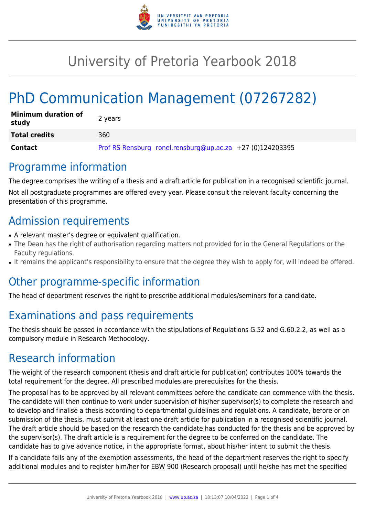

# University of Pretoria Yearbook 2018

# PhD Communication Management (07267282)

| <b>Minimum duration of</b><br>study | 2 years                                                   |
|-------------------------------------|-----------------------------------------------------------|
| <b>Total credits</b>                | 360                                                       |
| Contact                             | Prof RS Rensburg ronel.rensburg@up.ac.za +27 (0)124203395 |

### Programme information

The degree comprises the writing of a thesis and a draft article for publication in a recognised scientific journal. Not all postgraduate programmes are offered every year. Please consult the relevant faculty concerning the presentation of this programme.

## Admission requirements

- A relevant master's degree or equivalent qualification.
- The Dean has the right of authorisation regarding matters not provided for in the General Regulations or the Faculty regulations.
- It remains the applicant's responsibility to ensure that the degree they wish to apply for, will indeed be offered.

### Other programme-specific information

The head of department reserves the right to prescribe additional modules/seminars for a candidate.

# Examinations and pass requirements

The thesis should be passed in accordance with the stipulations of Regulations G.52 and G.60.2.2, as well as a compulsory module in Research Methodology.

## Research information

The weight of the research component (thesis and draft article for publication) contributes 100% towards the total requirement for the degree. All prescribed modules are prerequisites for the thesis.

The proposal has to be approved by all relevant committees before the candidate can commence with the thesis. The candidate will then continue to work under supervision of his/her supervisor(s) to complete the research and to develop and finalise a thesis according to departmental guidelines and regulations. A candidate, before or on submission of the thesis, must submit at least one draft article for publication in a recognised scientific journal. The draft article should be based on the research the candidate has conducted for the thesis and be approved by the supervisor(s). The draft article is a requirement for the degree to be conferred on the candidate. The candidate has to give advance notice, in the appropriate format, about his/her intent to submit the thesis.

If a candidate fails any of the exemption assessments, the head of the department reserves the right to specify additional modules and to register him/her for EBW 900 (Research proposal) until he/she has met the specified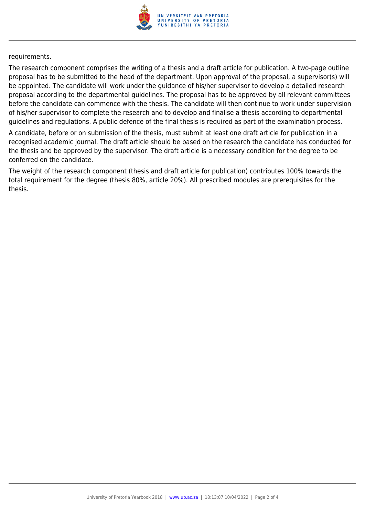

requirements.

The research component comprises the writing of a thesis and a draft article for publication. A two-page outline proposal has to be submitted to the head of the department. Upon approval of the proposal, a supervisor(s) will be appointed. The candidate will work under the guidance of his/her supervisor to develop a detailed research proposal according to the departmental guidelines. The proposal has to be approved by all relevant committees before the candidate can commence with the thesis. The candidate will then continue to work under supervision of his/her supervisor to complete the research and to develop and finalise a thesis according to departmental guidelines and regulations. A public defence of the final thesis is required as part of the examination process.

A candidate, before or on submission of the thesis, must submit at least one draft article for publication in a recognised academic journal. The draft article should be based on the research the candidate has conducted for the thesis and be approved by the supervisor. The draft article is a necessary condition for the degree to be conferred on the candidate.

The weight of the research component (thesis and draft article for publication) contributes 100% towards the total requirement for the degree (thesis 80%, article 20%). All prescribed modules are prerequisites for the thesis.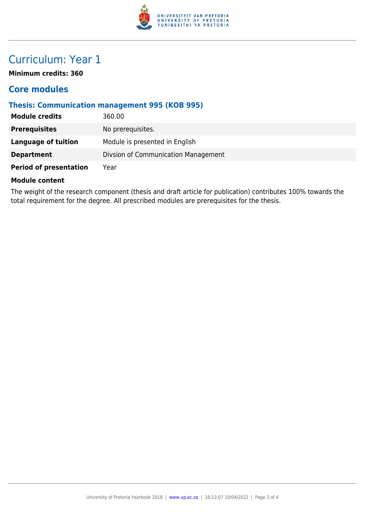

# Curriculum: Year 1

**Minimum credits: 360**

### **Core modules**

### **Thesis: Communication management 995 (KOB 995)**

| <b>Module credits</b>         | 360.00                              |
|-------------------------------|-------------------------------------|
| <b>Prerequisites</b>          | No prerequisites.                   |
| <b>Language of tuition</b>    | Module is presented in English      |
| <b>Department</b>             | Divsion of Communication Management |
| <b>Period of presentation</b> | Year                                |

#### **Module content**

The weight of the research component (thesis and draft article for publication) contributes 100% towards the total requirement for the degree. All prescribed modules are prerequisites for the thesis.